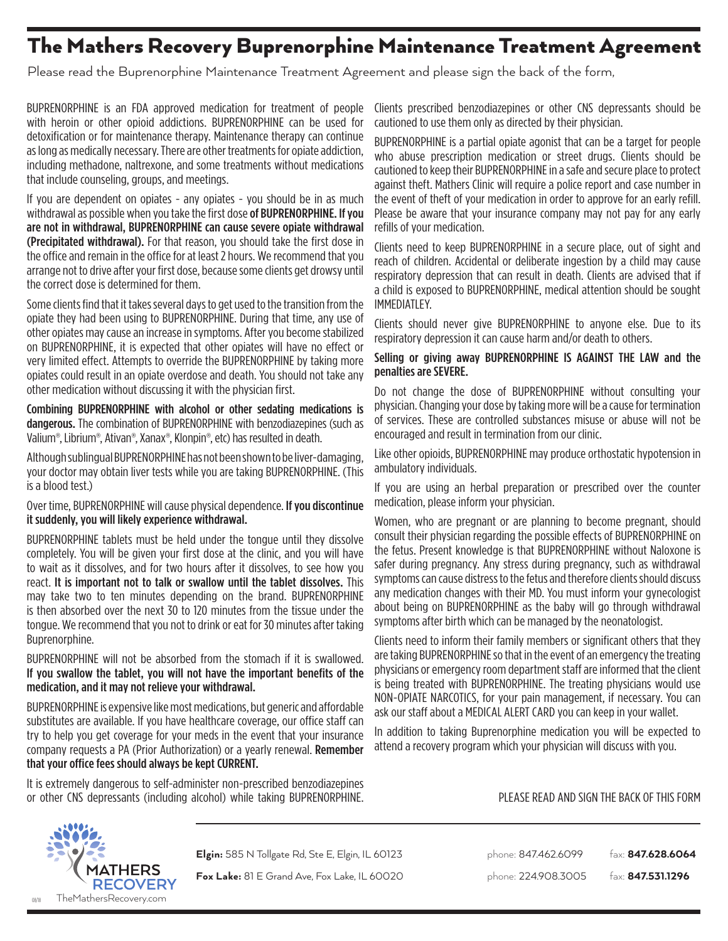# The Mathers Recovery Buprenorphine Maintenance Treatment Agreement

Please read the Buprenorphine Maintenance Treatment Agreement and please sign the back of the form,

BUPRENORPHINE is an FDA approved medication for treatment of people with heroin or other opioid addictions. BUPRENORPHINE can be used for detoxification or for maintenance therapy. Maintenance therapy can continue as long as medically necessary. There are other treatments for opiate addiction, including methadone, naltrexone, and some treatments without medications that include counseling, groups, and meetings.

If you are dependent on opiates - any opiates - you should be in as much withdrawal as possible when you take the first dose of BUPRENORPHINE. If you are not in withdrawal, BUPRENORPHINE can cause severe opiate withdrawal (Precipitated withdrawal). For that reason, you should take the first dose in the office and remain in the office for at least 2 hours. We recommend that you arrange not to drive after your first dose, because some clients get drowsy until the correct dose is determined for them.

Some clients find that it takes several days to get used to the transition from the opiate they had been using to BUPRENORPHINE. During that time, any use of other opiates may cause an increase in symptoms. After you become stabilized on BUPRENORPHINE, it is expected that other opiates will have no effect or very limited effect. Attempts to override the BUPRENORPHINE by taking more opiates could result in an opiate overdose and death. You should not take any other medication without discussing it with the physician first.

Combining BUPRENORPHINE with alcohol or other sedating medications is **dangerous.** The combination of BUPRENORPHINE with benzodiazepines (such as Valium®, Librium®, Ativan®, Xanax®, Klonpin®, etc) has resulted in death.

Although sublingual BUPRENORPHINE has not been shown to be liver-damaging, your doctor may obtain liver tests while you are taking BUPRENORPHINE. (This is a blood test.)

#### Over time, BUPRENORPHINE will cause physical dependence. If you discontinue it suddenly, you will likely experience withdrawal.

BUPRENORPHINE tablets must be held under the tongue until they dissolve completely. You will be given your first dose at the clinic, and you will have to wait as it dissolves, and for two hours after it dissolves, to see how you react. It is important not to talk or swallow until the tablet dissolves. This may take two to ten minutes depending on the brand. BUPRENORPHINE is then absorbed over the next 30 to 120 minutes from the tissue under the tongue. We recommend that you not to drink or eat for 30 minutes after taking Buprenorphine.

BUPRENORPHINE will not be absorbed from the stomach if it is swallowed. If you swallow the tablet, you will not have the important benefits of the medication, and it may not relieve your withdrawal.

BUPRENORPHINE is expensive like most medications, but generic and affordable substitutes are available. If you have healthcare coverage, our office staff can try to help you get coverage for your meds in the event that your insurance company requests a PA (Prior Authorization) or a yearly renewal. Remember that your office fees should always be kept CURRENT.

It is extremely dangerous to self-administer non-prescribed benzodiazepines or other CNS depressants (including alcohol) while taking BUPRENORPHINE.

Clients prescribed benzodiazepines or other CNS depressants should be cautioned to use them only as directed by their physician.

BUPRENORPHINE is a partial opiate agonist that can be a target for people who abuse prescription medication or street drugs. Clients should be cautioned to keep their BUPRENORPHINE in a safe and secure place to protect against theft. Mathers Clinic will require a police report and case number in the event of theft of your medication in order to approve for an early refill. Please be aware that your insurance company may not pay for any early refills of your medication.

Clients need to keep BUPRENORPHINE in a secure place, out of sight and reach of children. Accidental or deliberate ingestion by a child may cause respiratory depression that can result in death. Clients are advised that if a child is exposed to BUPRENORPHINE, medical attention should be sought IMMEDIATLEY.

Clients should never give BUPRENORPHINE to anyone else. Due to its respiratory depression it can cause harm and/or death to others.

#### Selling or giving away BUPRENORPHINE IS AGAINST THE LAW and the penalties are SEVERE.

Do not change the dose of BUPRENORPHINE without consulting your physician. Changing your dose by taking more will be a cause for termination of services. These are controlled substances misuse or abuse will not be encouraged and result in termination from our clinic.

Like other opioids, BUPRENORPHINE may produce orthostatic hypotension in ambulatory individuals.

If you are using an herbal preparation or prescribed over the counter medication, please inform your physician.

Women, who are pregnant or are planning to become pregnant, should consult their physician regarding the possible effects of BUPRENORPHINE on the fetus. Present knowledge is that BUPRENORPHINE without Naloxone is safer during pregnancy. Any stress during pregnancy, such as withdrawal symptoms can cause distress to the fetus and therefore clients should discuss any medication changes with their MD. You must inform your gynecologist about being on BUPRENORPHINE as the baby will go through withdrawal symptoms after birth which can be managed by the neonatologist.

Clients need to inform their family members or significant others that they are taking BUPRENORPHINE so that in the event of an emergency the treating physicians or emergency room department staff are informed that the client is being treated with BUPRENORPHINE. The treating physicians would use NON-OPIATE NARCOTICS, for your pain management, if necessary. You can ask our staff about a MEDICAL ALERT CARD you can keep in your wallet.

In addition to taking Buprenorphine medication you will be expected to attend a recovery program which your physician will discuss with you.

**MATHERS** RECOVERY TheMathersRecovery.com

**Fox Lake:** 81 E Grand Ave, Fox Lake, IL 60020 phone: 224.908.3005 fax: **847.531.1296** 

**Elgin:** 585 N Tollgate Rd, Ste E, Elgin, IL 60123 phone: 847.462.6099 fax: **847.628.6064** 

PLEASE READ AND SIGN THE BACK OF THIS FORM